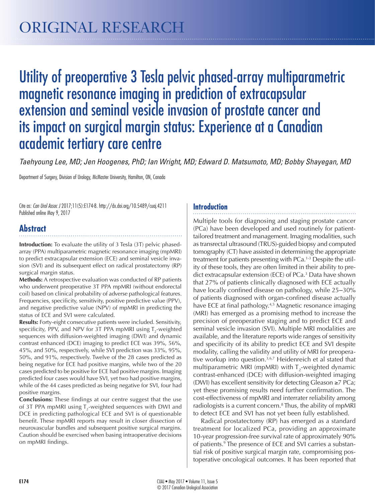# Utility of preoperative 3 Tesla pelvic phased-array multiparametric magnetic resonance imaging in prediction of extracapsular extension and seminal vesicle invasion of prostate cancer and its impact on surgical margin status: Experience at a Canadian academic tertiary care centre

*Taehyoung Lee, MD; Jen Hoogenes, PhD; Ian Wright, MD; Edward D. Matsumoto, MD; Bobby Shayegan, MD*

Department of Surgery, Division of Urology, McMaster University, Hamilton, ON, Canada

Cite as: *Can Urol Assoc J* 2017;11(5):E174-8. http://dx.doi.org/10.5489/cuaj.4211 Published online May 9, 2017

## **Abstract**

**Introduction:** To evaluate the utility of 3 Tesla (3T) pelvic phasedarray (PPA) multiparametric magnetic resonance imaging (mpMRI) to predict extracapsular extension (ECE) and seminal vesicle invasion (SVI) and its subsequent effect on radical prostatectomy (RP) surgical margin status.

**Methods:** A retrospective evaluation was conducted of RP patients who underwent preoperative 3T PPA mpMRI (without endorectal coil) based on clinical probability of adverse pathological features. Frequencies, specificity, sensitivity, positive predictive value (PPV), and negative predictive value (NPV) of mpMRI in predicting the status of ECE and SVI were calculated.

**Results:** Forty-eight consecutive patients were included. Sensitivity, specificity, PPV, and NPV for 3T PPA mpMRI using  $T_2$ -weighted sequences with diffusion-weighted imaging (DWI) and dynamic contrast enhanced (DCE) imaging to predict ECE was 39%, 56%, 45%, and 50%, respectively, while SVI prediction was 33%, 95%, 50%, and 91%, respectively. Twelve of the 28 cases predicted as being negative for ECE had positive margins, while two of the 20 cases predicted to be positive for ECE had positive margins. Imaging predicted four cases would have SVI, yet two had positive margins, while of the 44 cases predicted as being negative for SVI, four had positive margins.

**Conclusions:** These findings at our centre suggest that the use of 3T PPA mpMRI using  $T<sub>2</sub>$ -weighted sequences with DWI and DCE in predicting pathological ECE and SVI is of questionable benefit. These mpMRI reports may result in closer dissection of neurovascular bundles and subsequent positive surgical margins. Caution should be exercised when basing intraoperative decisions on mpMRI findings.

## **Introduction**

Multiple tools for diagnosing and staging prostate cancer (PCa) have been developed and used routinely for patienttailored treatment and management. Imaging modalities, such as transrectal ultrasound (TRUS)-guided biopsy and computed tomography (CT) have assisted in determining the appropriate treatment for patients presenting with PCa.1-3 Despite the utility of these tools, they are often limited in their ability to predict extracapsular extension (ECE) of PCa.<sup>3</sup> Data have shown that 27% of patients clinically diagnosed with ECE actually have locally confined disease on pathology, while 25–30% of patients diagnosed with organ-confined disease actually have ECE at final pathology.<sup>4,5</sup> Magnetic resonance imaging (MRI) has emerged as a promising method to increase the precision of preoperative staging and to predict ECE and seminal vesicle invasion (SVI). Multiple MRI modalities are available, and the literature reports wide ranges of sensitivity and specificity of its ability to predict ECE and SVI despite modality, calling the validity and utility of MRI for preoperative workup into question.<sup>3,6,7</sup> Heidenreich et al stated that multiparametric MRI (mpMRI) with  $\mathsf{T}_2$ -weighted dynamic contrast-enhanced (DCE) with diffusion-weighted imaging (DWI) has excellent sensitivity for detecting Gleason ≥7 PCa; yet these promising results need further confirmation. The cost-effectiveness of mpMRI and interrater reliability among radiologists is a current concern.<sup>8</sup> Thus, the ability of mpMRI to detect ECE and SVI has not yet been fully established.

Radical prostatectomy (RP) has emerged as a standard treatment for localized PCa, providing an approximate 10-year progression-free survival rate of approximately 90% of patients.<sup>9</sup> The presence of ECE and SVI carries a substantial risk of positive surgical margin rate, compromising postoperative oncological outcomes. It has been reported that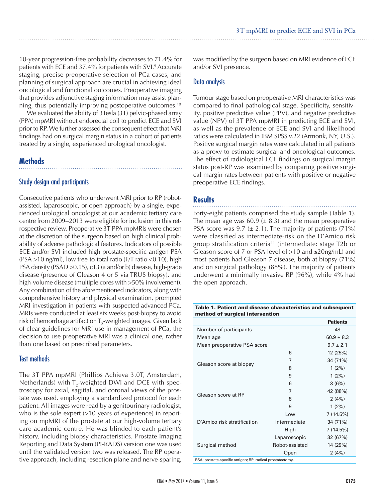10-year progression-free probability decreases to 71.4% for patients with ECE and 37.4% for patients with SVI.<sup>9</sup> Accurate staging, precise preoperative selection of PCa cases, and planning of surgical approach are crucial in achieving ideal oncological and functional outcomes. Preoperative imaging that provides adjunctive staging information may assist planning, thus potentially improving postoperative outcomes.10

We evaluated the ability of 3Tesla (3T) pelvic-phased array (PPA) mpMRI without endorectal coil to predict ECE and SVI prior to RP. We further assessed the consequent effect that MRI findings had on surgical margin status in a cohort of patients treated by a single, experienced urological oncologist.

## **Methods**

## Study design and participants

Consecutive patients who underwent MRI prior to RP (robotassisted, laparoscopic, or open approach) by a single, experienced urological oncologist at our academic tertiary care centre from 2009–2013 were eligible for inclusion in this retrospective review. Preoperative 3T PPA mpMRIs were chosen at the discretion of the surgeon based on high clinical probability of adverse pathological features. Indicators of possible ECE and/or SVI included high prostate-specific antigen PSA (PSA >10 ng/ml), low free-to-total ratio (F/T ratio <0.10), high PSA density (PSAD >0.15), cT3 (a and/or b) disease, high-grade disease (presence of Gleason 4 or 5 via TRUS biopsy), and high-volume disease (multiple cores with >50% involvement). Any combination of the aforementioned indicators, along with comprehensive history and physical examination, prompted MRI investigation in patients with suspected advanced PCa. MRIs were conducted at least six weeks post-biopsy to avoid risk of hemorrhage artifact on T $_2$ -weighted images. Given lack of clear guidelines for MRI use in management of PCa, the decision to use preoperative MRI was a clinical one, rather than one based on prescribed parameters.

## Test methods

The 3T PPA mpMRI (Phillips Achieva 3.0T, Amsterdam, Netherlands) with  $T<sub>2</sub>$ -weighted DWI and DCE with spectroscopy for axial, sagittal, and coronal views of the prostate was used, employing a standardized protocol for each patient. All images were read by a genitourinary radiologist, who is the sole expert  $(>10$  years of experience) in reporting on mpMRI of the prostate at our high-volume tertiary care academic centre. He was blinded to each patient's history, including biopsy characteristics. Prostate Imaging Reporting and Data System (PI-RADS) version one was used until the validated version two was released. The RP operative approach, including resection plane and nerve-sparing,

was modified by the surgeon based on MRI evidence of ECE and/or SVI presence.

## Data analysis

Tumour stage based on preoperative MRI characteristics was compared to final pathological stage. Specificity, sensitivity, positive predictive value (PPV), and negative predictive value (NPV) of 3T PPA mpMRI in predicting ECE and SVI, as well as the prevalence of ECE and SVI and likelihood ratios were calculated in IBM SPSS v.22 (Armonk, NY, U.S.). Positive surgical margin rates were calculated in all patients as a proxy to estimate surgical and oncological outcomes. The effect of radiological ECE findings on surgical margin status post-RP was examined by comparing positive surgical margin rates between patients with positive or negative preoperative ECE findings.

## **Results**

Forty-eight patients comprised the study sample (Table 1). The mean age was 60.9  $(\pm 8.3)$  and the mean preoperative PSA score was 9.7 ( $\pm$  2.1). The majority of patients (71%) were classified as intermediate-risk on the D'Amico risk group stratification criteria<sup>11</sup> (intermediate: stage T2b or Gleason score of 7 or PSA level of >10 and ≤20ng/mL) and most patients had Gleason 7 disease, both at biopsy (71%) and on surgical pathology (88%). The majority of patients underwent a minimally invasive RP (96%), while 4% had the open approach.

Table 1. Patient and disease characteristics and subsequent method of surgical intervention

|                | <b>Patients</b> |
|----------------|-----------------|
|                | 48              |
|                | $60.9 \pm 8.3$  |
|                | $9.7 + 2.1$     |
| 6              | 12 (25%)        |
| 7              | 34 (71%)        |
| 8              | 1(2%)           |
| 9              | 1(2%)           |
| 6              | 3(6%)           |
| 7              | 42 (88%)        |
| 8              | 2(4%)           |
| 9              | 1(2%)           |
| Low            | 7(14.5%)        |
| Intermediate   | 34 (71%)        |
| High           | 7(14.5%)        |
| Laparoscopic   | 32 (67%)        |
| Robot-assisted | 14 (29%)        |
| Open           | 2(4%)           |
|                |                 |

PSA: prostate-specific antigen; RP: radical prostatectomy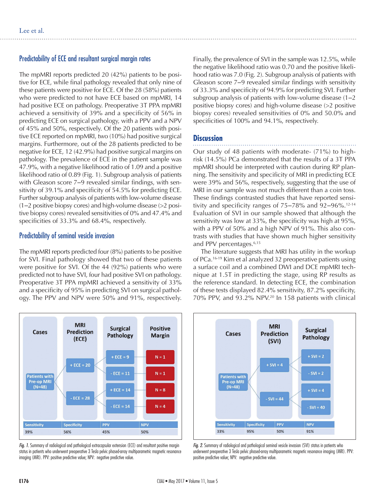## Predictability of ECE and resultant surgical margin rates

The mpMRI reports predicted 20 (42%) patients to be positive for ECE, while final pathology revealed that only nine of these patients were positive for ECE. Of the 28 (58%) patients who were predicted to not have ECE based on mpMRI, 14 had positive ECE on pathology. Preoperative 3T PPA mpMRI achieved a sensitivity of 39% and a specificity of 56% in predicting ECE on surgical pathology, with a PPV and a NPV of 45% and 50%, respectively. Of the 20 patients with positive ECE reported on mpMRI, two (10%) had positive surgical margins. Furthermore, out of the 28 patients predicted to be negative for ECE, 12 (42.9%) had positive surgical margins on pathology. The prevalence of ECE in the patient sample was 47.9%, with a negative likelihood ratio of 1.09 and a positive likelihood ratio of 0.89 (Fig. 1). Subgroup analysis of patients with Gleason score 7–9 revealed similar findings, with sensitivity of 39.1% and specificity of 54.5% for predicting ECE. Further subgroup analysis of patients with low-volume disease  $(1-2)$  positive biopsy cores) and high-volume disease  $(>2)$  positive biopsy cores) revealed sensitivities of 0% and 47.4% and specificities of 33.3% and 68.4%, respectively.

#### Predictability of seminal vesicle invasion

The mpMRI reports predicted four (8%) patients to be positive for SVI. Final pathology showed that two of these patients were positive for SVI. Of the 44 (92%) patients who were predicted not to have SVI, four had positive SVI on pathology. Preoperative 3T PPA mpMRI achieved a sensitivity of 33% and a specificity of 95% in predicting SVI on surgical pathology. The PPV and NPV were 50% and 91%, respectively.



*Fig. 1.* Summary of radiological and pathological extracapsular extension (ECE) and resultant positive margin status in patients who underwent preoperative 3 Tesla pelvic phased-array multiparametric magnetic resonance imaging (MRI). PPV: positive predictive value; NPV: negative predictive value.

Finally, the prevalence of SVI in the sample was 12.5%, while the negative likelihood ratio was 0.70 and the positive likelihood ratio was 7.0 (Fig. 2). Subgroup analysis of patients with Gleason score 7–9 revealed similar findings with sensitivity of 33.3% and specificity of 94.9% for predicting SVI. Further subgroup analysis of patients with low-volume disease  $(1-2)$ positive biopsy cores) and high-volume disease (>2 positive biopsy cores) revealed sensitivities of 0% and 50.0% and specificities of 100% and 94.1%, respectively.

## **Discussion**

Our study of 48 patients with moderate- (71%) to highrisk (14.5%) PCa demonstrated that the results of a 3T PPA mpMRI should be interpreted with caution during RP planning. The sensitivity and specificity of MRI in predicting ECE were 39% and 56%, respectively, suggesting that the use of MRI in our sample was not much different than a coin toss. These findings contrasted studies that have reported sensitivity and specificity ranges of  $75-78\%$  and  $92-96\%$ .<sup>12-14</sup> Evaluation of SVI in our sample showed that although the sensitivity was low at 33%, the specificity was high at 95%, with a PPV of 50% and a high NPV of 91%. This also contrasts with studies that have shown much higher sensitivity and PPV percentages.6,15

The literature suggests that MRI has utility in the workup of PCa.<sup>16-19</sup> Kim et al analyzed 32 preoperative patients using a surface coil and a combined DWI and DCE mpMRI technique at 1.5T in predicting the stage, using RP results as the reference standard. In detecting ECE, the combination of these tests displayed 82.4% sensitivity, 87.2% specificity, 70% PPV, and 93.2% NPV.20 In 158 patients with clinical



*Fig. 2.* Summary of radiological and pathological seminal vesicle invasion (SVI) status in patients who underwent preoperative 3 Tesla pelvic phased-array multiparametric magnetic resonance imaging (MRI). PPV: positive predictive value; NPV: negative predictive value.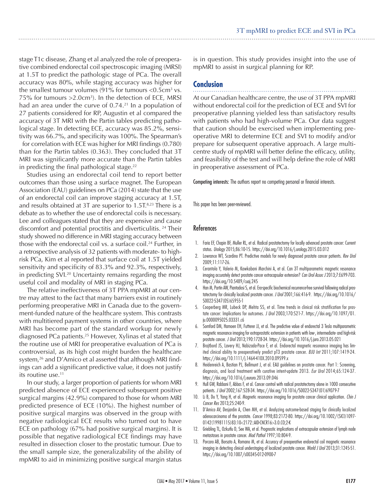stage T1c disease, Zhang et al analyzed the role of preoperative combined endorectal coil spectroscopic imaging (MRSI) at 1.5T to predict the pathologic stage of PCa. The overall accuracy was 80%, while staging accuracy was higher for the smallest tumour volumes (91% for tumours  $<$  0.5 cm<sup>3</sup> vs. 75% for tumours  $>2.0cm<sup>3</sup>$ ). In the detection of ECE, MRSI had an area under the curve of  $0.74<sup>21</sup>$  In a population of 27 patients considered for RP, Augustin et al compared the accuracy of 3T MRI with the Partin tables predicting pathological stage. In detecting ECE, accuracy was 85.2%, sensitivity was 66.7%, and specificity was 100%. The Spearman's for correlation with ECE was higher for MRI findings (0.780) than for the Partin tables (0.363). They concluded that 3T MRI was significantly more accurate than the Partin tables

in predicting the final pathological stage. $22$ Studies using an endorectal coil tend to report better outcomes than those using a surface magnet. The European Association (EAU) guidelines on PCa (2014) state that the use of an endorectal coil can improve staging accuracy at 1.5T, and results obtained at 3T are superior to  $1.5T<sup>8,23</sup>$  There is a debate as to whether the use of endorectal coils is necessary. Lee and colleagues stated that they are expensive and cause discomfort and potential proctitis and diverticulitis. 24 Their study showed no difference in MRI staging accuracy between those with the endorectal coil vs. a surface coil.<sup>24</sup> Further, in a retrospective analysis of 32 patients with moderate- to highrisk PCa, Kim et al reported that surface coil at 1.5T yielded sensitivity and specificity of 83.3% and 92.3%, respectively, in predicting SVI.20 Uncertainty remains regarding the most useful coil and modality of MRI in staging PCa.

The relative ineffectiveness of 3T PPA mpMRI at our centre may attest to the fact that many barriers exist in routinely performing preoperative MRI in Canada due to the government-funded nature of the healthcare system. This contrasts with multitiered payment systems in other countries, where MRI has become part of the standard workup for newly diagnosed PCa patients.25 However, Xylinas et al stated that the routine use of MRI for preoperative evaluation of PCa is controversial, as its high cost might burden the healthcare system,<sup>26</sup> and D'Amico et al asserted that although MRI findings can add a significant predictive value, it does not justify its routine use.<sup>11</sup>

In our study, a larger proportion of patients for whom MRI predicted absence of ECE experienced subsequent positive surgical margins (42.9%) compared to those for whom MRI predicted presence of ECE (10%). The highest number of positive surgical margins was observed in the group with negative radiological ECE results who turned out to have ECE on pathology (67% had positive surgical margins). It is possible that negative radiological ECE findings may have resulted in dissection closer to the prostatic tumour. Due to the small sample size, the generalizability of the ability of mpMRI to aid in minimizing positive surgical margin status

is in question. This study provides insight into the use of mpMRI to assist in surgical planning for RP.

## **Conclusion**

At our Canadian healthcare centre, the use of 3T PPA mpMRI without endorectal coil for the prediction of ECE and SVI for preoperative planning yielded less than satisfactory results with patients who had high-volume PCa. Our data suggest that caution should be exercised when implementing preoperative MRI to determine ECE and SVI to modify and/or prepare for subsequent operative approach. A large multicentre study of mpMRI will better define the efficacy, utility, and feasibility of the test and will help define the role of MRI in preoperative assessment of PCa.

Competing interests: The authors report no competing personal or financial interests.

This paper has been peer-reviewed.

#### **References**

- 1. Faria EF, Chapin BF, Muller RL, et al. Radical prostatectomy for locally advanced prostate cancer: Current status. *Urology* 2015;86:10-15. https://doi.org/10.1016/j.urology.2015.03.012
- 2. Lowrance WT, Scardino PT. Predictive models for newly diagnosed prostate cancer patients. *Rev Urol*  2009;11:117-26.
- 3. Cerantola Y, Valerio M, Kawkabani Marchini A, et al. Can 3T multiparametric magnetic resonance imaging accurately detect prostate cancer extracapsular extension? *Can Urol Assoc J* 2013;7:E699-703. https://doi.org/10.5489/cuaj.245
- 4. Han M, Partin AW, Piantadosi S, et al. Era-specific biochemical recurrence-free survival following radical prostatectomy for clinically localized prostate cancer. *J Urol* 2001;166:416-9. https://doi.org/10.1016/ S0022-5347(05)65955-1
- 5. Cooperberg MR, Lubeck DP, Mehta SS, et al. Time trends in clinical risk stratification for prostate cancer: Implications for outcomes. *J Urol* 2003;170:S21-7. https://doi.org/10.1097/01. ju.0000095025.03331.c6
- 6. Somford DM, Hamoen EH, Futterer JJ, et al. The predictive value of endorectal 3 Tesla multiparametric magnetic resonance imaging for extraprostatic extension in patients with low-, intermediate- and high-risk prostate cancer. *J Urol* 2013;190:1728-34. https://doi.org/10.1016/j.juro.2013.05.021
- 7. Brajtbord JS, Lavery HJ, Nabizada-Pace F, et al. Endorectal magnetic resonance imaging has limited clinical ability to preoperatively predict pT3 prostate cancer. *BJU Int* 2011;107:1419-24. https://doi.org/10.1111/j.1464-410X.2010.09599.x
- 8. Heidenreich A, Bastian PJ, Bellmunt J, et al. EAU guidelines on prostate cancer. Part 1: Screening, diagnosis, and local treatment with curative intent-update 2013. *Eur Urol* 2014;65:124-37. https://doi.org/10.1016/j.eururo.2013.09.046
- 9. Hull GW, Rabbani F, Abbas F, et al. Cancer control with radical prostatectomy alone in 1000 consecutive patients. *J Urol* 2002;167:528-34. https://doi.org/10.1016/S0022-5347(01)69079-7
- 10. Li B, Du Y, Yang H, et al. Magnetic resonance imaging for prostate cancer clinical application. *Chin J Cancer Res* 2013;25:240-9.
- 11. D'Amico AV, Desjardin A, Chen MH, et al. Analyzing outcome-based staging for clinically localized adenocarcinoma of the prostate. *Cancer* 1998;83:2172-80. https://doi.org/10.1002/(SICI)1097- 0142(19981115)83:10<2172::AID-CNCR16>3.0.CO;2-K
- 12. Griebling TL, Ozkutlu D, See WA, et al. Prognostic implications of extracapsular extension of lymph node metastases in prostate cancer. *Mod Pathol* 1997;10:804-9.
- 13. Porcaro AB, Borsato A, Romano M, et al. Accuracy of preoperative endorectal coil magnetic resonance imaging in detecting clinical understaging of localized prostate cancer. *World J Urol* 2013;31:1245-51. https://doi.org/10.1007/s00345-012-0900-7